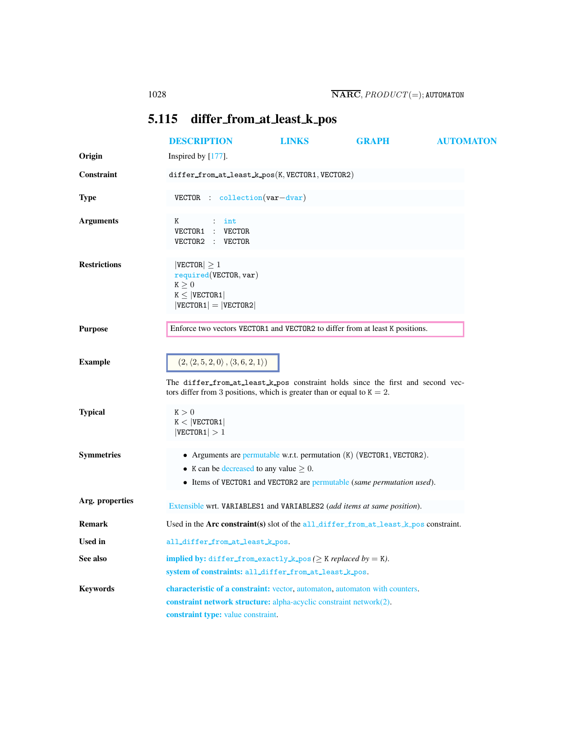## <span id="page-0-0"></span>5.115 differ from at least k pos

<span id="page-0-1"></span>

|                     | <b>DESCRIPTION</b>                                                                                                                                                                                                    | <b>LINKS</b> | <b>GRAPH</b> | <b>AUTOMATON</b> |
|---------------------|-----------------------------------------------------------------------------------------------------------------------------------------------------------------------------------------------------------------------|--------------|--------------|------------------|
| Origin              | Inspired by $[177]$ .                                                                                                                                                                                                 |              |              |                  |
| Constraint          | $differ_from_at_least_k pos(K, VECTOR1, VECTOR2)$                                                                                                                                                                     |              |              |                  |
| <b>Type</b>         | $VECTOR: collection(var-dvar)$                                                                                                                                                                                        |              |              |                  |
| <b>Arguments</b>    | Κ<br>int<br>VECTOR1<br>$:$ VECTOR<br>VECTOR2 : VECTOR                                                                                                                                                                 |              |              |                  |
| <b>Restrictions</b> | $ {\tt VECTOR}  \geq 1$<br>required(VECTOR, var)<br>K > 0<br>$K \leq  VECTOR1 $<br>$ VECTOR1  =  VECTOR2 $                                                                                                            |              |              |                  |
| <b>Purpose</b>      | Enforce two vectors VECTOR1 and VECTOR2 to differ from at least K positions.                                                                                                                                          |              |              |                  |
| <b>Example</b>      | $(2,\langle 2,5,2,0\rangle\,,\langle 3,6,2,1\rangle)$<br>The differ_from_at_least_k_pos constraint holds since the first and second vec-<br>tors differ from 3 positions, which is greater than or equal to $K = 2$ . |              |              |                  |
| <b>Typical</b>      | K > 0<br>$K <  $ VECTOR1<br> VECTOR1  > 1                                                                                                                                                                             |              |              |                  |
| <b>Symmetries</b>   | • Arguments are permutable w.r.t. permutation $(K)$ (VECTOR1, VECTOR2).<br>• K can be decreased to any value $\geq 0$ .<br>• Items of VECTOR1 and VECTOR2 are permutable (same permutation used).                     |              |              |                  |
| Arg. properties     | Extensible wrt. VARIABLES1 and VARIABLES2 (add items at same position).                                                                                                                                               |              |              |                  |
| <b>Remark</b>       | Used in the Arc constraint(s) slot of the all-differ-from at least $k$ -pos constraint.                                                                                                                               |              |              |                  |
| Used in             | all_differ_from_at_least_k_pos.                                                                                                                                                                                       |              |              |                  |
| See also            | implied by: differ_from_exactly_k_pos( $\geq$ K replaced by = K).<br>system of constraints: all_differ_from_at_least_k_pos.                                                                                           |              |              |                  |
| <b>Keywords</b>     | characteristic of a constraint: vector, automaton, automaton with counters.<br>constraint network structure: alpha-acyclic constraint network(2).<br>constraint type: value constraint.                               |              |              |                  |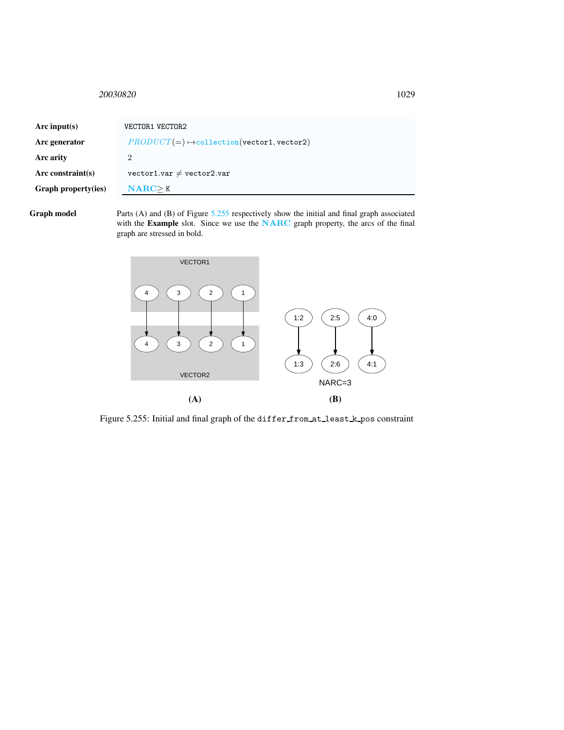## <span id="page-1-0"></span><sup>20030820</sup> 1029

| Arc input(s)         | VECTOR1 VECTOR2                                       |  |  |
|----------------------|-------------------------------------------------------|--|--|
| Arc generator        | $PRODUCT(=) \rightarrow collection(vector1, vector2)$ |  |  |
| Arc arity            | 2                                                     |  |  |
| Arc constraint $(s)$ | $vector1.var \neq vector2.var$                        |  |  |
| Graph property(ies)  | NARC > K                                              |  |  |
|                      |                                                       |  |  |

Graph model Parts (A) and (B) of Figure [5.255](#page-1-1) respectively show the initial and final graph associated with the Example slot. Since we use the NARC graph property, the arcs of the final graph are stressed in bold.



<span id="page-1-1"></span>Figure 5.255: Initial and final graph of the differ from at least k pos constraint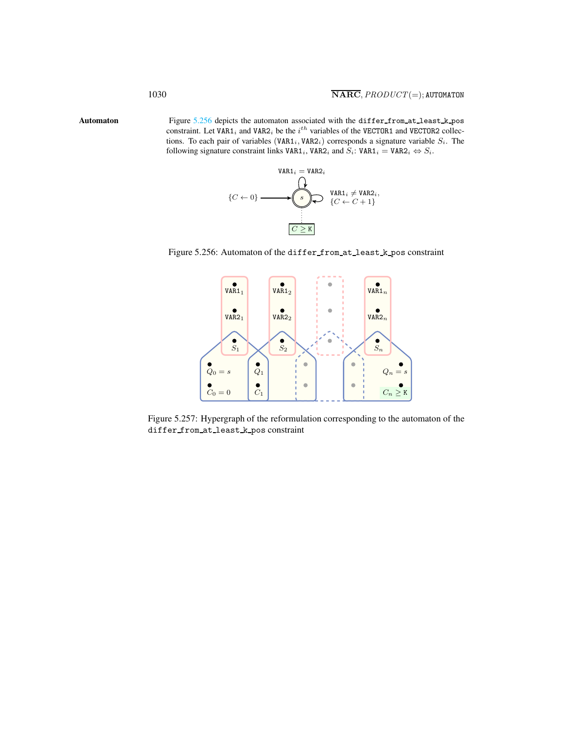Automaton Figure [5.256](#page-2-1) depicts the automaton associated with the differ from at least k pos constraint. Let VAR1<sub>i</sub> and VAR2<sub>i</sub> be the  $i^{th}$  variables of the VECTOR1 and VECTOR2 collections. To each pair of variables (VAR1<sub>i</sub>, VAR2<sub>i</sub>) corresponds a signature variable  $S_i$ . The following signature constraint links VAR1<sub>i</sub>, VAR2<sub>i</sub> and  $S_i$ : VAR1<sub>i</sub> = VAR2<sub>i</sub>  $\Leftrightarrow S_i$ .

<span id="page-2-0"></span>

Figure 5.256: Automaton of the differ from at least k pos constraint

<span id="page-2-1"></span>

Figure 5.257: Hypergraph of the reformulation corresponding to the automaton of the differ from at least k pos constraint